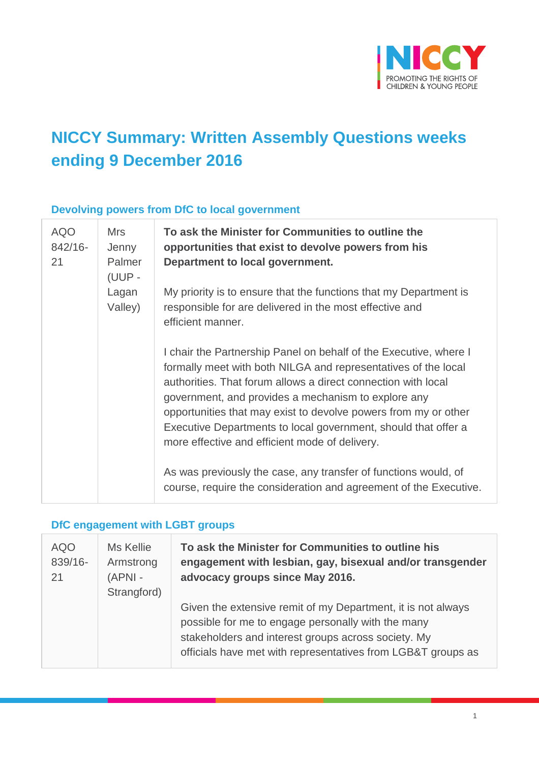

## **NICCY Summary: Written Assembly Questions weeks ending 9 December 2016**

#### **Devolving powers from DfC to local government**

| <b>AQO</b><br>842/16-<br>21 | <b>Mrs</b><br>Jenny<br>Palmer<br>(UUP -<br>Lagan<br>Valley) | To ask the Minister for Communities to outline the<br>opportunities that exist to devolve powers from his<br>Department to local government.                                                                                                                                                                                                                                                                                                       |
|-----------------------------|-------------------------------------------------------------|----------------------------------------------------------------------------------------------------------------------------------------------------------------------------------------------------------------------------------------------------------------------------------------------------------------------------------------------------------------------------------------------------------------------------------------------------|
|                             |                                                             | My priority is to ensure that the functions that my Department is<br>responsible for are delivered in the most effective and<br>efficient manner.                                                                                                                                                                                                                                                                                                  |
|                             |                                                             | I chair the Partnership Panel on behalf of the Executive, where I<br>formally meet with both NILGA and representatives of the local<br>authorities. That forum allows a direct connection with local<br>government, and provides a mechanism to explore any<br>opportunities that may exist to devolve powers from my or other<br>Executive Departments to local government, should that offer a<br>more effective and efficient mode of delivery. |
|                             |                                                             | As was previously the case, any transfer of functions would, of<br>course, require the consideration and agreement of the Executive.                                                                                                                                                                                                                                                                                                               |

#### **DfC engagement with LGBT groups**

| <b>AQO</b><br>839/16-<br>21 | Ms Kellie<br>Armstrong<br>$(APNI -$<br>Strangford) | To ask the Minister for Communities to outline his<br>engagement with lesbian, gay, bisexual and/or transgender<br>advocacy groups since May 2016.                                                                                        |
|-----------------------------|----------------------------------------------------|-------------------------------------------------------------------------------------------------------------------------------------------------------------------------------------------------------------------------------------------|
|                             |                                                    | Given the extensive remit of my Department, it is not always<br>possible for me to engage personally with the many<br>stakeholders and interest groups across society. My<br>officials have met with representatives from LGB&T groups as |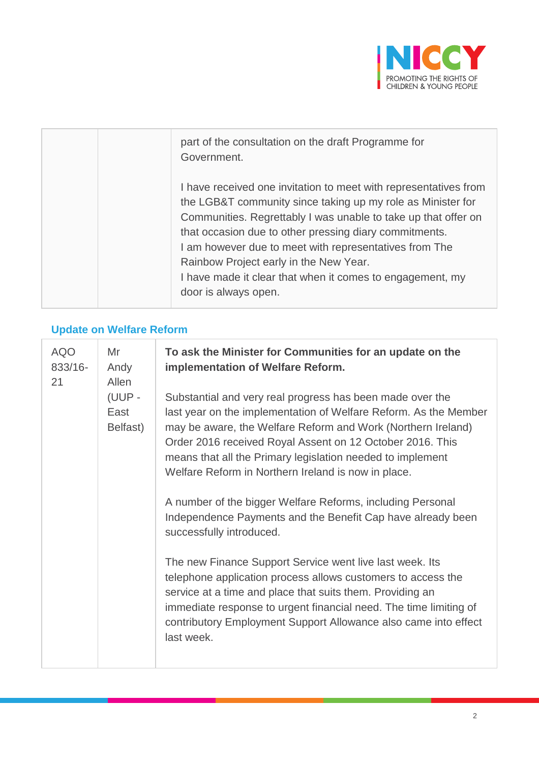

| part of the consultation on the draft Programme for<br>Government.                                                                                                                                                                                                                                                                                                                                                                                   |
|------------------------------------------------------------------------------------------------------------------------------------------------------------------------------------------------------------------------------------------------------------------------------------------------------------------------------------------------------------------------------------------------------------------------------------------------------|
| I have received one invitation to meet with representatives from<br>the LGB&T community since taking up my role as Minister for<br>Communities. Regrettably I was unable to take up that offer on<br>that occasion due to other pressing diary commitments.<br>I am however due to meet with representatives from The<br>Rainbow Project early in the New Year.<br>I have made it clear that when it comes to engagement, my<br>door is always open. |

#### **Update on Welfare Reform**

r

| <b>AQO</b><br>833/16-<br>21 | Mr<br>Andy<br>Allen<br>(UUP -<br>East<br>Belfast) | To ask the Minister for Communities for an update on the<br>implementation of Welfare Reform.<br>Substantial and very real progress has been made over the<br>last year on the implementation of Welfare Reform. As the Member<br>may be aware, the Welfare Reform and Work (Northern Ireland)<br>Order 2016 received Royal Assent on 12 October 2016. This<br>means that all the Primary legislation needed to implement<br>Welfare Reform in Northern Ireland is now in place.<br>A number of the bigger Welfare Reforms, including Personal<br>Independence Payments and the Benefit Cap have already been<br>successfully introduced.<br>The new Finance Support Service went live last week. Its<br>telephone application process allows customers to access the<br>service at a time and place that suits them. Providing an<br>immediate response to urgent financial need. The time limiting of<br>contributory Employment Support Allowance also came into effect<br>last week. |
|-----------------------------|---------------------------------------------------|------------------------------------------------------------------------------------------------------------------------------------------------------------------------------------------------------------------------------------------------------------------------------------------------------------------------------------------------------------------------------------------------------------------------------------------------------------------------------------------------------------------------------------------------------------------------------------------------------------------------------------------------------------------------------------------------------------------------------------------------------------------------------------------------------------------------------------------------------------------------------------------------------------------------------------------------------------------------------------------|
|-----------------------------|---------------------------------------------------|------------------------------------------------------------------------------------------------------------------------------------------------------------------------------------------------------------------------------------------------------------------------------------------------------------------------------------------------------------------------------------------------------------------------------------------------------------------------------------------------------------------------------------------------------------------------------------------------------------------------------------------------------------------------------------------------------------------------------------------------------------------------------------------------------------------------------------------------------------------------------------------------------------------------------------------------------------------------------------------|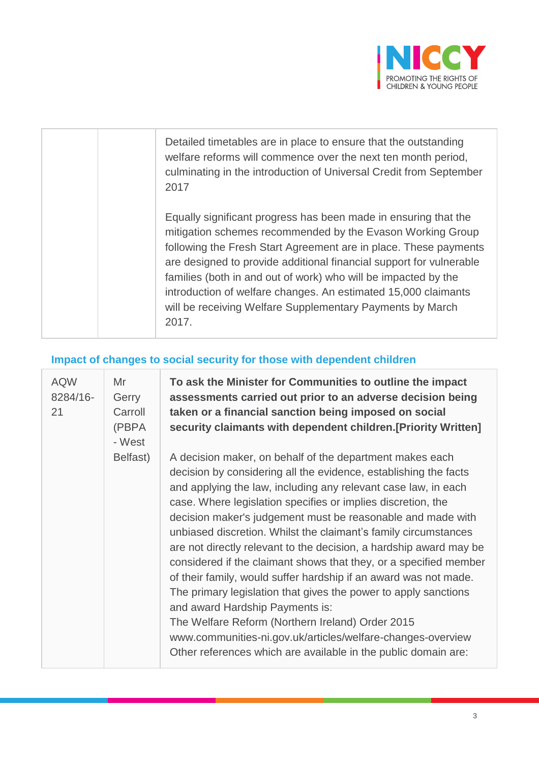

| Detailed timetables are in place to ensure that the outstanding<br>welfare reforms will commence over the next ten month period,<br>culminating in the introduction of Universal Credit from September<br>2017                                                                                                                                                                                                                                                                     |
|------------------------------------------------------------------------------------------------------------------------------------------------------------------------------------------------------------------------------------------------------------------------------------------------------------------------------------------------------------------------------------------------------------------------------------------------------------------------------------|
| Equally significant progress has been made in ensuring that the<br>mitigation schemes recommended by the Evason Working Group<br>following the Fresh Start Agreement are in place. These payments<br>are designed to provide additional financial support for vulnerable<br>families (both in and out of work) who will be impacted by the<br>introduction of welfare changes. An estimated 15,000 claimants<br>will be receiving Welfare Supplementary Payments by March<br>2017. |

## **Impact of changes to social security for those with dependent children**

| <b>AQW</b><br>8284/16-<br>21 | Mr<br>Gerry<br>Carroll<br>(PBPA<br>- West | To ask the Minister for Communities to outline the impact<br>assessments carried out prior to an adverse decision being<br>taken or a financial sanction being imposed on social<br>security claimants with dependent children. [Priority Written]                                                                                                                                                                                                                                                                                                                                                                                                                                                                                                                                                                                                                                                         |
|------------------------------|-------------------------------------------|------------------------------------------------------------------------------------------------------------------------------------------------------------------------------------------------------------------------------------------------------------------------------------------------------------------------------------------------------------------------------------------------------------------------------------------------------------------------------------------------------------------------------------------------------------------------------------------------------------------------------------------------------------------------------------------------------------------------------------------------------------------------------------------------------------------------------------------------------------------------------------------------------------|
|                              | Belfast)                                  | A decision maker, on behalf of the department makes each<br>decision by considering all the evidence, establishing the facts<br>and applying the law, including any relevant case law, in each<br>case. Where legislation specifies or implies discretion, the<br>decision maker's judgement must be reasonable and made with<br>unbiased discretion. Whilst the claimant's family circumstances<br>are not directly relevant to the decision, a hardship award may be<br>considered if the claimant shows that they, or a specified member<br>of their family, would suffer hardship if an award was not made.<br>The primary legislation that gives the power to apply sanctions<br>and award Hardship Payments is:<br>The Welfare Reform (Northern Ireland) Order 2015<br>www.communities-ni.gov.uk/articles/welfare-changes-overview<br>Other references which are available in the public domain are: |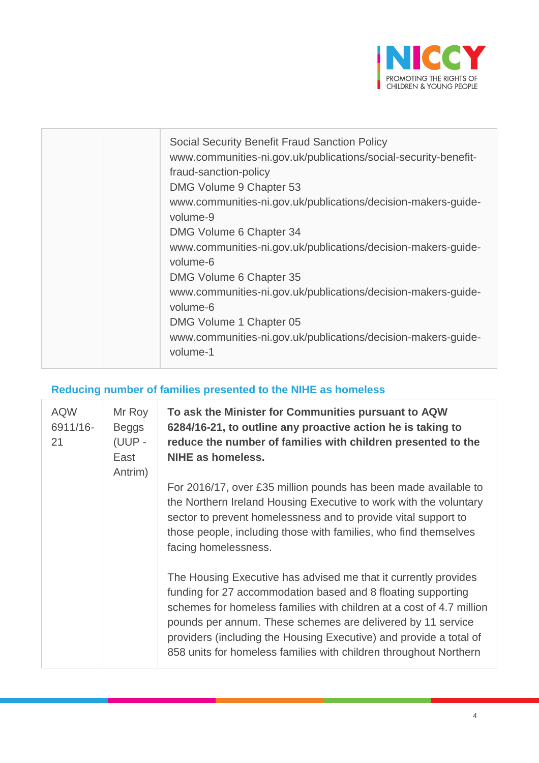

| <b>Social Security Benefit Fraud Sanction Policy</b><br>www.communities-ni.gov.uk/publications/social-security-benefit-<br>fraud-sanction-policy<br>DMG Volume 9 Chapter 53<br>www.communities-ni.gov.uk/publications/decision-makers-guide-<br>volume-9<br>DMG Volume 6 Chapter 34<br>www.communities-ni.gov.uk/publications/decision-makers-guide-<br>volume-6<br>DMG Volume 6 Chapter 35<br>www.communities-ni.gov.uk/publications/decision-makers-guide-<br>volume-6 |
|--------------------------------------------------------------------------------------------------------------------------------------------------------------------------------------------------------------------------------------------------------------------------------------------------------------------------------------------------------------------------------------------------------------------------------------------------------------------------|
| DMG Volume 1 Chapter 05                                                                                                                                                                                                                                                                                                                                                                                                                                                  |
| www.communities-ni.gov.uk/publications/decision-makers-guide-<br>volume-1                                                                                                                                                                                                                                                                                                                                                                                                |

#### **Reducing number of families presented to the NIHE as homeless**

| <b>AQW</b><br>6911/16-<br>21 | Mr Roy<br><b>Beggs</b><br>(UUP -<br>East<br>Antrim) | To ask the Minister for Communities pursuant to AQW<br>6284/16-21, to outline any proactive action he is taking to<br>reduce the number of families with children presented to the<br><b>NIHE as homeless.</b>                                                                                                                                                                                                    |
|------------------------------|-----------------------------------------------------|-------------------------------------------------------------------------------------------------------------------------------------------------------------------------------------------------------------------------------------------------------------------------------------------------------------------------------------------------------------------------------------------------------------------|
|                              |                                                     | For 2016/17, over £35 million pounds has been made available to<br>the Northern Ireland Housing Executive to work with the voluntary<br>sector to prevent homelessness and to provide vital support to<br>those people, including those with families, who find themselves<br>facing homelessness.                                                                                                                |
|                              |                                                     | The Housing Executive has advised me that it currently provides<br>funding for 27 accommodation based and 8 floating supporting<br>schemes for homeless families with children at a cost of 4.7 million<br>pounds per annum. These schemes are delivered by 11 service<br>providers (including the Housing Executive) and provide a total of<br>858 units for homeless families with children throughout Northern |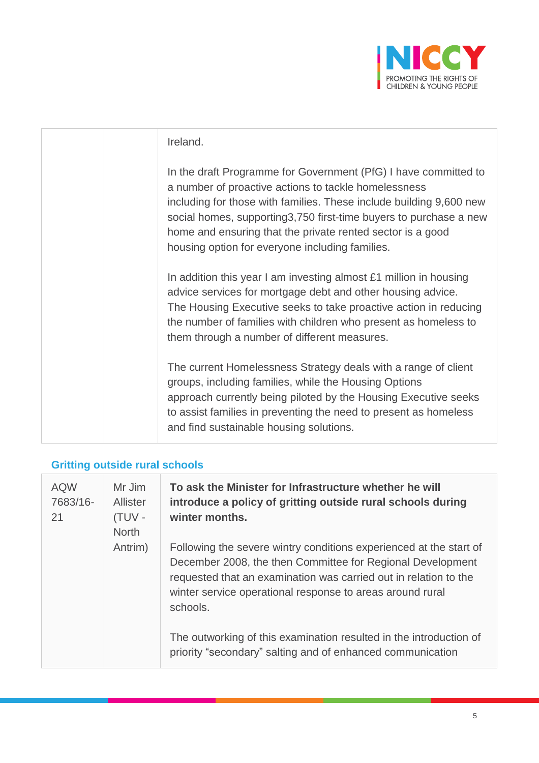

| Ireland.                                                                                                                                                                                                                                                                                                                                                                              |
|---------------------------------------------------------------------------------------------------------------------------------------------------------------------------------------------------------------------------------------------------------------------------------------------------------------------------------------------------------------------------------------|
| In the draft Programme for Government (PfG) I have committed to<br>a number of proactive actions to tackle homelessness<br>including for those with families. These include building 9,600 new<br>social homes, supporting 3,750 first-time buyers to purchase a new<br>home and ensuring that the private rented sector is a good<br>housing option for everyone including families. |
| In addition this year I am investing almost £1 million in housing<br>advice services for mortgage debt and other housing advice.<br>The Housing Executive seeks to take proactive action in reducing<br>the number of families with children who present as homeless to<br>them through a number of different measures.                                                               |
| The current Homelessness Strategy deals with a range of client<br>groups, including families, while the Housing Options<br>approach currently being piloted by the Housing Executive seeks<br>to assist families in preventing the need to present as homeless<br>and find sustainable housing solutions.                                                                             |

## **Gritting outside rural schools**

| <b>AQW</b><br>7683/16-<br>21 | Mr Jim<br>Allister<br>(TUV -<br><b>North</b> | To ask the Minister for Infrastructure whether he will<br>introduce a policy of gritting outside rural schools during<br>winter months.                                                                                                                                       |
|------------------------------|----------------------------------------------|-------------------------------------------------------------------------------------------------------------------------------------------------------------------------------------------------------------------------------------------------------------------------------|
|                              | Antrim)                                      | Following the severe wintry conditions experienced at the start of<br>December 2008, the then Committee for Regional Development<br>requested that an examination was carried out in relation to the<br>winter service operational response to areas around rural<br>schools. |
|                              |                                              | The outworking of this examination resulted in the introduction of<br>priority "secondary" salting and of enhanced communication                                                                                                                                              |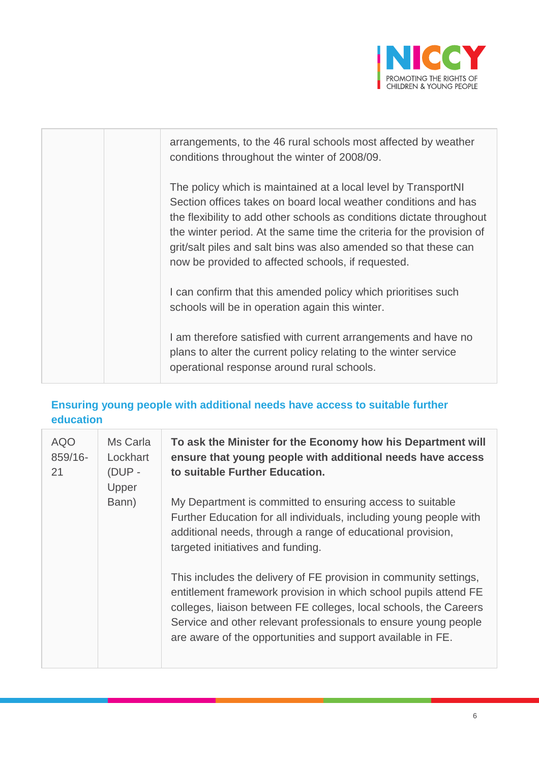

| arrangements, to the 46 rural schools most affected by weather<br>conditions throughout the winter of 2008/09.                                                                                                                                                                                                                                                                                                |
|---------------------------------------------------------------------------------------------------------------------------------------------------------------------------------------------------------------------------------------------------------------------------------------------------------------------------------------------------------------------------------------------------------------|
| The policy which is maintained at a local level by TransportNI<br>Section offices takes on board local weather conditions and has<br>the flexibility to add other schools as conditions dictate throughout<br>the winter period. At the same time the criteria for the provision of<br>grit/salt piles and salt bins was also amended so that these can<br>now be provided to affected schools, if requested. |
| I can confirm that this amended policy which prioritises such<br>schools will be in operation again this winter.                                                                                                                                                                                                                                                                                              |
| I am therefore satisfied with current arrangements and have no<br>plans to alter the current policy relating to the winter service<br>operational response around rural schools.                                                                                                                                                                                                                              |

### **Ensuring young people with additional needs have access to suitable further education**

| <b>AQO</b><br>859/16-<br>21 | Ms Carla<br>Lockhart<br>$(DUP -$<br>Upper | To ask the Minister for the Economy how his Department will<br>ensure that young people with additional needs have access<br>to suitable Further Education.                                                                                                                                                                                  |
|-----------------------------|-------------------------------------------|----------------------------------------------------------------------------------------------------------------------------------------------------------------------------------------------------------------------------------------------------------------------------------------------------------------------------------------------|
|                             | Bann)                                     | My Department is committed to ensuring access to suitable<br>Further Education for all individuals, including young people with<br>additional needs, through a range of educational provision,<br>targeted initiatives and funding.                                                                                                          |
|                             |                                           | This includes the delivery of FE provision in community settings,<br>entitlement framework provision in which school pupils attend FE<br>colleges, liaison between FE colleges, local schools, the Careers<br>Service and other relevant professionals to ensure young people<br>are aware of the opportunities and support available in FE. |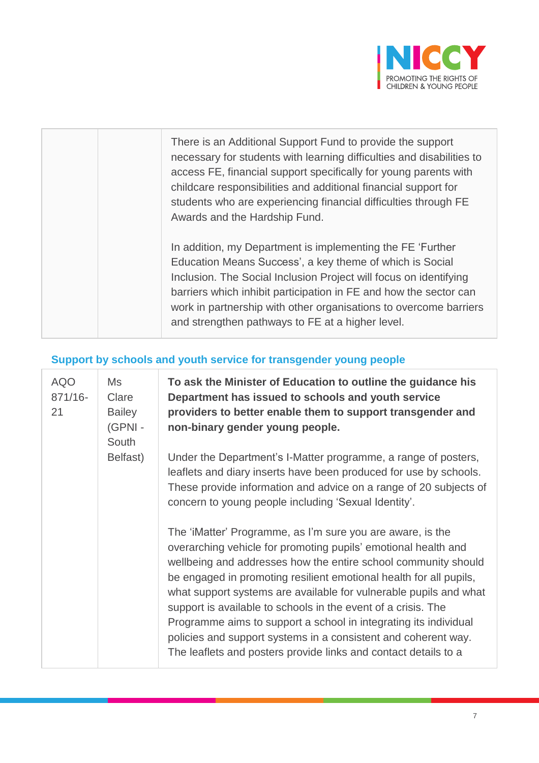

| There is an Additional Support Fund to provide the support<br>necessary for students with learning difficulties and disabilities to<br>access FE, financial support specifically for young parents with<br>childcare responsibilities and additional financial support for<br>students who are experiencing financial difficulties through FE<br>Awards and the Hardship Fund.             |
|--------------------------------------------------------------------------------------------------------------------------------------------------------------------------------------------------------------------------------------------------------------------------------------------------------------------------------------------------------------------------------------------|
| In addition, my Department is implementing the FE 'Further'<br>Education Means Success', a key theme of which is Social<br>Inclusion. The Social Inclusion Project will focus on identifying<br>barriers which inhibit participation in FE and how the sector can<br>work in partnership with other organisations to overcome barriers<br>and strengthen pathways to FE at a higher level. |

## **Support by schools and youth service for transgender young people**

| <b>AQO</b><br>871/16-<br>21 | Ms<br>Clare<br><b>Bailey</b><br>(GPNI-<br>South<br>Belfast) | To ask the Minister of Education to outline the guidance his<br>Department has issued to schools and youth service<br>providers to better enable them to support transgender and<br>non-binary gender young people.                                                                                                                                                                                                                                                                                                                                                                                                 |
|-----------------------------|-------------------------------------------------------------|---------------------------------------------------------------------------------------------------------------------------------------------------------------------------------------------------------------------------------------------------------------------------------------------------------------------------------------------------------------------------------------------------------------------------------------------------------------------------------------------------------------------------------------------------------------------------------------------------------------------|
|                             |                                                             | Under the Department's I-Matter programme, a range of posters,<br>leaflets and diary inserts have been produced for use by schools.<br>These provide information and advice on a range of 20 subjects of<br>concern to young people including 'Sexual Identity'.                                                                                                                                                                                                                                                                                                                                                    |
|                             |                                                             | The 'iMatter' Programme, as I'm sure you are aware, is the<br>overarching vehicle for promoting pupils' emotional health and<br>wellbeing and addresses how the entire school community should<br>be engaged in promoting resilient emotional health for all pupils,<br>what support systems are available for vulnerable pupils and what<br>support is available to schools in the event of a crisis. The<br>Programme aims to support a school in integrating its individual<br>policies and support systems in a consistent and coherent way.<br>The leaflets and posters provide links and contact details to a |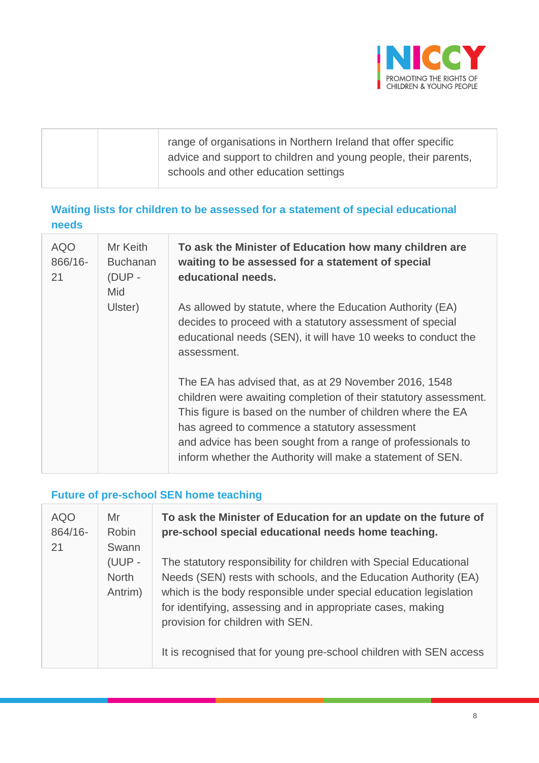

#### **Waiting lists for children to be assessed for a statement of special educational needs**

| <b>AQO</b><br>866/16-<br>21 | Mr Keith<br><b>Buchanan</b><br>$(DUP -$<br><b>Mid</b><br>Ulster) | To ask the Minister of Education how many children are<br>waiting to be assessed for a statement of special<br>educational needs.                                                                                                                                                                                                                                      |
|-----------------------------|------------------------------------------------------------------|------------------------------------------------------------------------------------------------------------------------------------------------------------------------------------------------------------------------------------------------------------------------------------------------------------------------------------------------------------------------|
|                             |                                                                  | As allowed by statute, where the Education Authority (EA)<br>decides to proceed with a statutory assessment of special<br>educational needs (SEN), it will have 10 weeks to conduct the<br>assessment.                                                                                                                                                                 |
|                             |                                                                  | The EA has advised that, as at 29 November 2016, 1548<br>children were awaiting completion of their statutory assessment.<br>This figure is based on the number of children where the EA<br>has agreed to commence a statutory assessment<br>and advice has been sought from a range of professionals to<br>inform whether the Authority will make a statement of SEN. |

## **Future of pre-school SEN home teaching**

| <b>AQO</b><br>864/16-<br>21 | Mr<br><b>Robin</b><br>Swann       | To ask the Minister of Education for an update on the future of<br>pre-school special educational needs home teaching.                                                                                                                                                                                                                                                                |
|-----------------------------|-----------------------------------|---------------------------------------------------------------------------------------------------------------------------------------------------------------------------------------------------------------------------------------------------------------------------------------------------------------------------------------------------------------------------------------|
|                             | (UUP -<br><b>North</b><br>Antrim) | The statutory responsibility for children with Special Educational<br>Needs (SEN) rests with schools, and the Education Authority (EA)<br>which is the body responsible under special education legislation<br>for identifying, assessing and in appropriate cases, making<br>provision for children with SEN.<br>It is recognised that for young pre-school children with SEN access |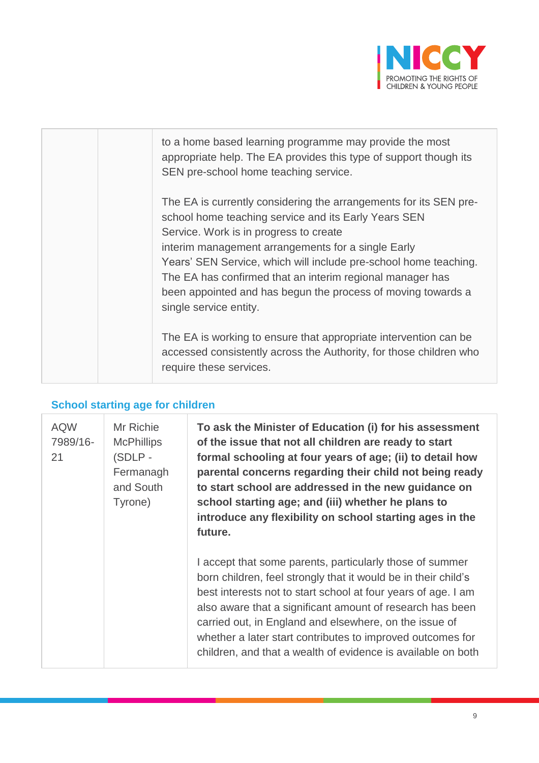

| to a home based learning programme may provide the most<br>appropriate help. The EA provides this type of support though its<br>SEN pre-school home teaching service.                                                                                                                                                                                                                                                                                |
|------------------------------------------------------------------------------------------------------------------------------------------------------------------------------------------------------------------------------------------------------------------------------------------------------------------------------------------------------------------------------------------------------------------------------------------------------|
| The EA is currently considering the arrangements for its SEN pre-<br>school home teaching service and its Early Years SEN<br>Service. Work is in progress to create<br>interim management arrangements for a single Early<br>Years' SEN Service, which will include pre-school home teaching.<br>The EA has confirmed that an interim regional manager has<br>been appointed and has begun the process of moving towards a<br>single service entity. |
| The EA is working to ensure that appropriate intervention can be<br>accessed consistently across the Authority, for those children who<br>require these services.                                                                                                                                                                                                                                                                                    |

## **School starting age for children**

| <b>AQW</b><br>7989/16-<br>21 | Mr Richie<br><b>McPhillips</b><br>(SDLP-<br>Fermanagh<br>and South<br>Tyrone) | To ask the Minister of Education (i) for his assessment<br>of the issue that not all children are ready to start<br>formal schooling at four years of age; (ii) to detail how<br>parental concerns regarding their child not being ready<br>to start school are addressed in the new guidance on<br>school starting age; and (iii) whether he plans to<br>introduce any flexibility on school starting ages in the<br>future.                    |
|------------------------------|-------------------------------------------------------------------------------|--------------------------------------------------------------------------------------------------------------------------------------------------------------------------------------------------------------------------------------------------------------------------------------------------------------------------------------------------------------------------------------------------------------------------------------------------|
|                              |                                                                               | I accept that some parents, particularly those of summer<br>born children, feel strongly that it would be in their child's<br>best interests not to start school at four years of age. I am<br>also aware that a significant amount of research has been<br>carried out, in England and elsewhere, on the issue of<br>whether a later start contributes to improved outcomes for<br>children, and that a wealth of evidence is available on both |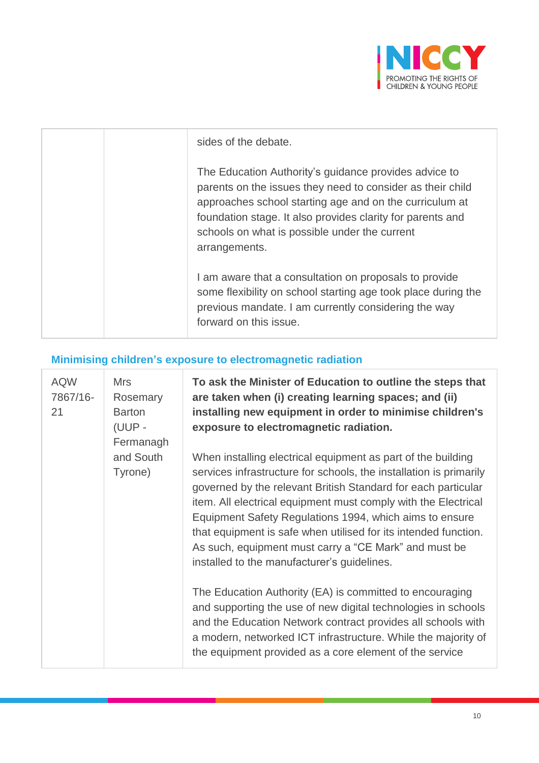

| sides of the debate.                                                                                                                                                                                                                                                                                           |
|----------------------------------------------------------------------------------------------------------------------------------------------------------------------------------------------------------------------------------------------------------------------------------------------------------------|
| The Education Authority's guidance provides advice to<br>parents on the issues they need to consider as their child<br>approaches school starting age and on the curriculum at<br>foundation stage. It also provides clarity for parents and<br>schools on what is possible under the current<br>arrangements. |
| I am aware that a consultation on proposals to provide<br>some flexibility on school starting age took place during the<br>previous mandate. I am currently considering the way<br>forward on this issue.                                                                                                      |

## **Minimising children's exposure to electromagnetic radiation**

| <b>AQW</b><br>7867/16-<br>21 | <b>Mrs</b><br>Rosemary<br><b>Barton</b><br>(UUP -<br>Fermanagh<br>and South<br>Tyrone) | To ask the Minister of Education to outline the steps that<br>are taken when (i) creating learning spaces; and (ii)<br>installing new equipment in order to minimise children's<br>exposure to electromagnetic radiation.<br>When installing electrical equipment as part of the building<br>services infrastructure for schools, the installation is primarily<br>governed by the relevant British Standard for each particular<br>item. All electrical equipment must comply with the Electrical<br>Equipment Safety Regulations 1994, which aims to ensure<br>that equipment is safe when utilised for its intended function.<br>As such, equipment must carry a "CE Mark" and must be<br>installed to the manufacturer's guidelines.<br>The Education Authority (EA) is committed to encouraging<br>and supporting the use of new digital technologies in schools |
|------------------------------|----------------------------------------------------------------------------------------|-----------------------------------------------------------------------------------------------------------------------------------------------------------------------------------------------------------------------------------------------------------------------------------------------------------------------------------------------------------------------------------------------------------------------------------------------------------------------------------------------------------------------------------------------------------------------------------------------------------------------------------------------------------------------------------------------------------------------------------------------------------------------------------------------------------------------------------------------------------------------|
|                              |                                                                                        | and the Education Network contract provides all schools with<br>a modern, networked ICT infrastructure. While the majority of<br>the equipment provided as a core element of the service                                                                                                                                                                                                                                                                                                                                                                                                                                                                                                                                                                                                                                                                              |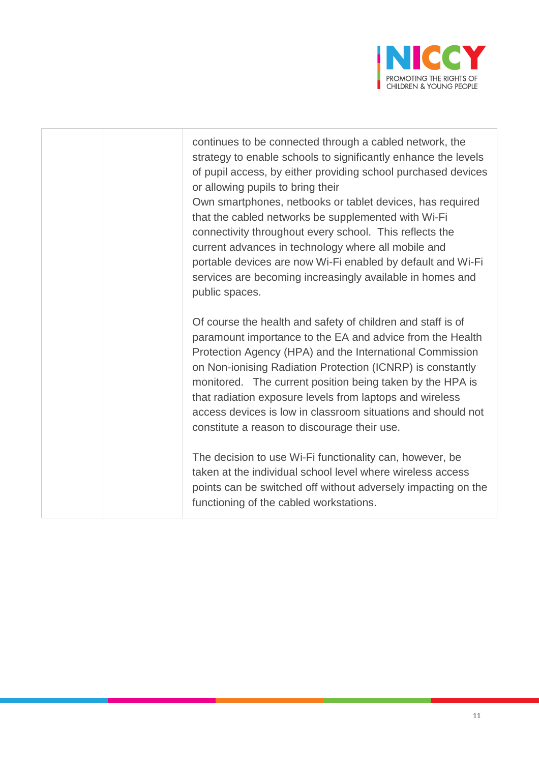

continues to be connected through a cabled network, the strategy to enable schools to significantly enhance the levels of pupil access, by either providing school purchased devices or allowing pupils to bring their Own smartphones, netbooks or tablet devices, has required that the cabled networks be supplemented with Wi-Fi connectivity throughout every school. This reflects the current advances in technology where all mobile and portable devices are now Wi-Fi enabled by default and Wi-Fi services are becoming increasingly available in homes and public spaces. Of course the health and safety of children and staff is of

paramount importance to the EA and advice from the Health Protection Agency (HPA) and the International Commission on Non-ionising Radiation Protection (ICNRP) is constantly monitored. The current position being taken by the HPA is that radiation exposure levels from laptops and wireless access devices is low in classroom situations and should not constitute a reason to discourage their use.

The decision to use Wi-Fi functionality can, however, be taken at the individual school level where wireless access points can be switched off without adversely impacting on the functioning of the cabled workstations.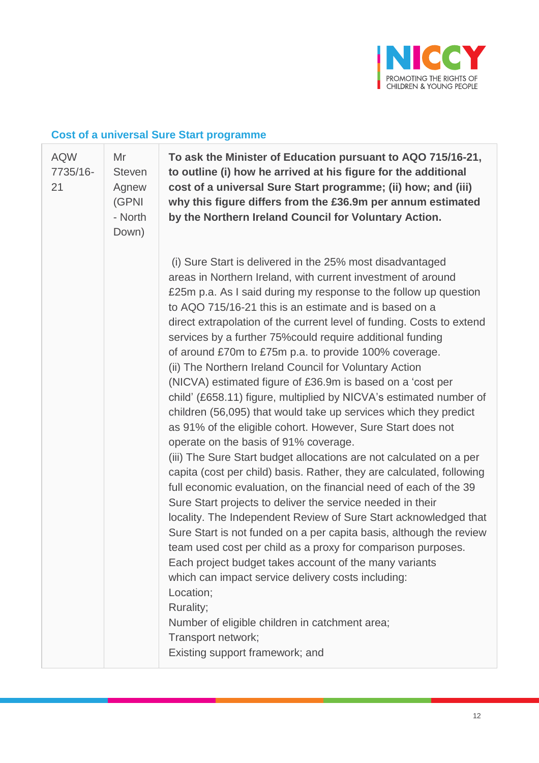

#### **Cost of a universal Sure Start programme**

[AQW](javascript:__doPostBack() [7735/16-](javascript:__doPostBack() [21](javascript:__doPostBack() Mr **Steven** Agnew (GPNI - North Down)

**To ask the Minister of Education pursuant to AQO 715/16-21, to outline (i) how he arrived at his figure for the additional cost of a universal Sure Start programme; (ii) how; and (iii) why this figure differs from the £36.9m per annum estimated by the Northern Ireland Council for Voluntary Action.**

(i) Sure Start is delivered in the 25% most disadvantaged areas in Northern Ireland, with current investment of around £25m p.a. As I said during my response to the follow up question to AQO 715/16-21 this is an estimate and is based on a direct extrapolation of the current level of funding. Costs to extend services by a further 75%could require additional funding of around £70m to £75m p.a. to provide 100% coverage. (ii) The Northern Ireland Council for Voluntary Action (NICVA) estimated figure of £36.9m is based on a 'cost per child' (£658.11) figure, multiplied by NICVA's estimated number of children (56,095) that would take up services which they predict as 91% of the eligible cohort. However, Sure Start does not operate on the basis of 91% coverage. (iii) The Sure Start budget allocations are not calculated on a per capita (cost per child) basis. Rather, they are calculated, following full economic evaluation, on the financial need of each of the 39 Sure Start projects to deliver the service needed in their locality. The Independent Review of Sure Start acknowledged that Sure Start is not funded on a per capita basis, although the review team used cost per child as a proxy for comparison purposes. Each project budget takes account of the many variants which can impact service delivery costs including: Location; Rurality;

Number of eligible children in catchment area;

Transport network;

Existing support framework; and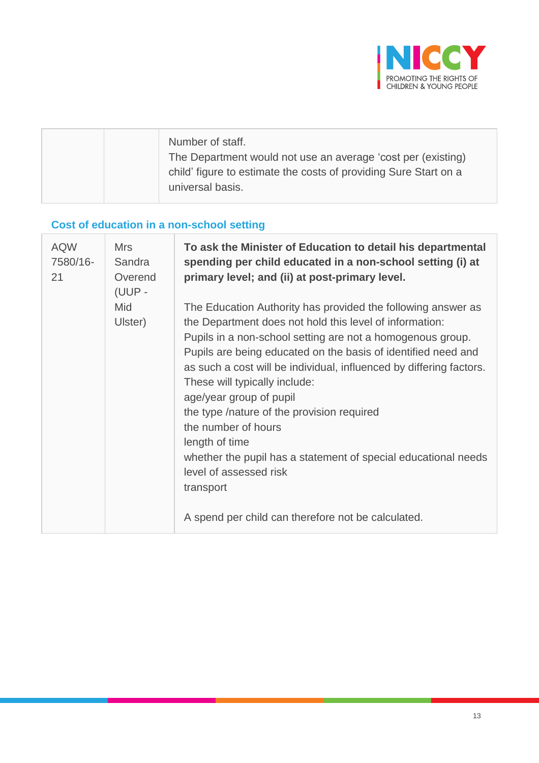

| Number of staff.<br>The Department would not use an average 'cost per (existing)<br>child' figure to estimate the costs of providing Sure Start on a<br>universal basis. |
|--------------------------------------------------------------------------------------------------------------------------------------------------------------------------|
|                                                                                                                                                                          |

# **Cost of education in a non-school setting**

| <b>AQW</b><br>7580/16-<br>21 | <b>Mrs</b><br>Sandra<br>Overend<br>(UUP- | To ask the Minister of Education to detail his departmental<br>spending per child educated in a non-school setting (i) at<br>primary level; and (ii) at post-primary level.                                                                                                                                                                                                                                                                                                                                                                                                  |
|------------------------------|------------------------------------------|------------------------------------------------------------------------------------------------------------------------------------------------------------------------------------------------------------------------------------------------------------------------------------------------------------------------------------------------------------------------------------------------------------------------------------------------------------------------------------------------------------------------------------------------------------------------------|
|                              | Mid<br>Ulster)                           | The Education Authority has provided the following answer as<br>the Department does not hold this level of information:<br>Pupils in a non-school setting are not a homogenous group.<br>Pupils are being educated on the basis of identified need and<br>as such a cost will be individual, influenced by differing factors.<br>These will typically include:<br>age/year group of pupil<br>the type /nature of the provision required<br>the number of hours<br>length of time<br>whether the pupil has a statement of special educational needs<br>level of assessed risk |
|                              |                                          | transport<br>A spend per child can therefore not be calculated.                                                                                                                                                                                                                                                                                                                                                                                                                                                                                                              |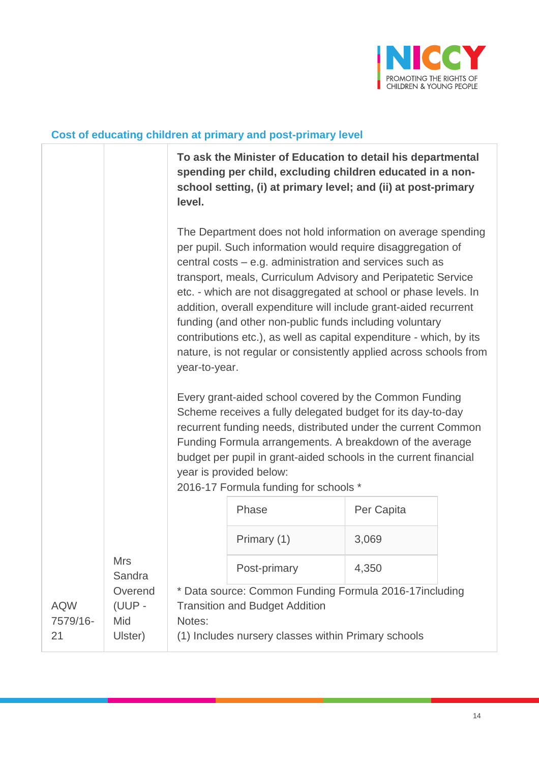

#### **Cost of educating children at primary and post-primary level**

|                              |                                     | To ask the Minister of Education to detail his departmental<br>spending per child, excluding children educated in a non-<br>school setting, (i) at primary level; and (ii) at post-primary<br>level. |                                                                                                                                                                                                                                                                                                                                                                                                                                                                                                                                                                                                                                                                                                                                                                                                                                                                                                                                                                                                        |            |  |
|------------------------------|-------------------------------------|------------------------------------------------------------------------------------------------------------------------------------------------------------------------------------------------------|--------------------------------------------------------------------------------------------------------------------------------------------------------------------------------------------------------------------------------------------------------------------------------------------------------------------------------------------------------------------------------------------------------------------------------------------------------------------------------------------------------------------------------------------------------------------------------------------------------------------------------------------------------------------------------------------------------------------------------------------------------------------------------------------------------------------------------------------------------------------------------------------------------------------------------------------------------------------------------------------------------|------------|--|
|                              |                                     | year-to-year.                                                                                                                                                                                        | The Department does not hold information on average spending<br>per pupil. Such information would require disaggregation of<br>central costs – e.g. administration and services such as<br>transport, meals, Curriculum Advisory and Peripatetic Service<br>etc. - which are not disaggregated at school or phase levels. In<br>addition, overall expenditure will include grant-aided recurrent<br>funding (and other non-public funds including voluntary<br>contributions etc.), as well as capital expenditure - which, by its<br>nature, is not regular or consistently applied across schools from<br>Every grant-aided school covered by the Common Funding<br>Scheme receives a fully delegated budget for its day-to-day<br>recurrent funding needs, distributed under the current Common<br>Funding Formula arrangements. A breakdown of the average<br>budget per pupil in grant-aided schools in the current financial<br>year is provided below:<br>2016-17 Formula funding for schools * |            |  |
|                              |                                     |                                                                                                                                                                                                      | Phase                                                                                                                                                                                                                                                                                                                                                                                                                                                                                                                                                                                                                                                                                                                                                                                                                                                                                                                                                                                                  | Per Capita |  |
|                              |                                     |                                                                                                                                                                                                      | Primary (1)                                                                                                                                                                                                                                                                                                                                                                                                                                                                                                                                                                                                                                                                                                                                                                                                                                                                                                                                                                                            | 3,069      |  |
|                              | <b>Mrs</b><br>Sandra                |                                                                                                                                                                                                      | Post-primary                                                                                                                                                                                                                                                                                                                                                                                                                                                                                                                                                                                                                                                                                                                                                                                                                                                                                                                                                                                           | 4,350      |  |
| <b>AQW</b><br>7579/16-<br>21 | Overend<br>(UUP -<br>Mid<br>Ulster) | * Data source: Common Funding Formula 2016-17including<br><b>Transition and Budget Addition</b><br>Notes:<br>(1) Includes nursery classes within Primary schools                                     |                                                                                                                                                                                                                                                                                                                                                                                                                                                                                                                                                                                                                                                                                                                                                                                                                                                                                                                                                                                                        |            |  |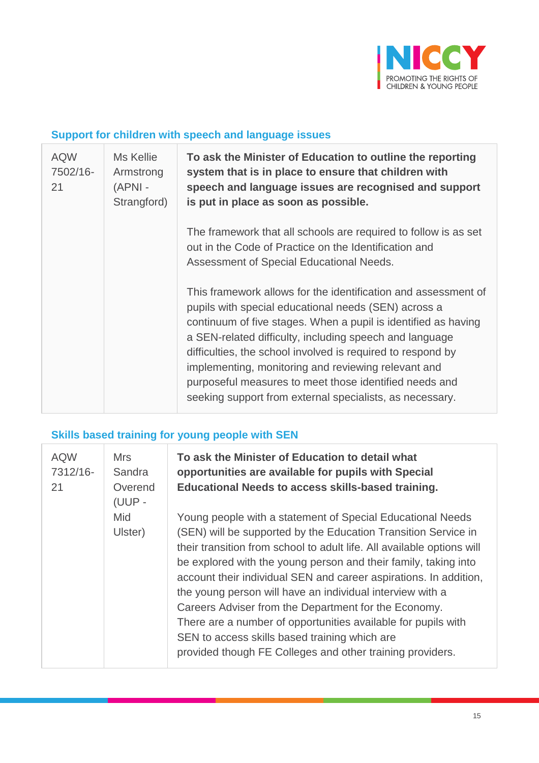

#### **Support for children with speech and language issues**

| <b>AQW</b><br>7502/16-<br>21 | Ms Kellie<br>Armstrong<br>(APNI -<br>Strangford) | To ask the Minister of Education to outline the reporting<br>system that is in place to ensure that children with<br>speech and language issues are recognised and support<br>is put in place as soon as possible.                                                                                                                                                                                                                                                                              |
|------------------------------|--------------------------------------------------|-------------------------------------------------------------------------------------------------------------------------------------------------------------------------------------------------------------------------------------------------------------------------------------------------------------------------------------------------------------------------------------------------------------------------------------------------------------------------------------------------|
|                              |                                                  | The framework that all schools are required to follow is as set<br>out in the Code of Practice on the Identification and<br>Assessment of Special Educational Needs.                                                                                                                                                                                                                                                                                                                            |
|                              |                                                  | This framework allows for the identification and assessment of<br>pupils with special educational needs (SEN) across a<br>continuum of five stages. When a pupil is identified as having<br>a SEN-related difficulty, including speech and language<br>difficulties, the school involved is required to respond by<br>implementing, monitoring and reviewing relevant and<br>purposeful measures to meet those identified needs and<br>seeking support from external specialists, as necessary. |

## **Skills based training for young people with SEN**

| <b>AQW</b><br>7312/16-<br>21 | <b>Mrs</b><br>Sandra<br>Overend<br>(UUP - | To ask the Minister of Education to detail what<br>opportunities are available for pupils with Special<br><b>Educational Needs to access skills-based training.</b>                                                                                                                                                                                                                                                                                                                                                                                                                                                                                |
|------------------------------|-------------------------------------------|----------------------------------------------------------------------------------------------------------------------------------------------------------------------------------------------------------------------------------------------------------------------------------------------------------------------------------------------------------------------------------------------------------------------------------------------------------------------------------------------------------------------------------------------------------------------------------------------------------------------------------------------------|
|                              | Mid<br>Ulster)                            | Young people with a statement of Special Educational Needs<br>(SEN) will be supported by the Education Transition Service in<br>their transition from school to adult life. All available options will<br>be explored with the young person and their family, taking into<br>account their individual SEN and career aspirations. In addition,<br>the young person will have an individual interview with a<br>Careers Adviser from the Department for the Economy.<br>There are a number of opportunities available for pupils with<br>SEN to access skills based training which are<br>provided though FE Colleges and other training providers. |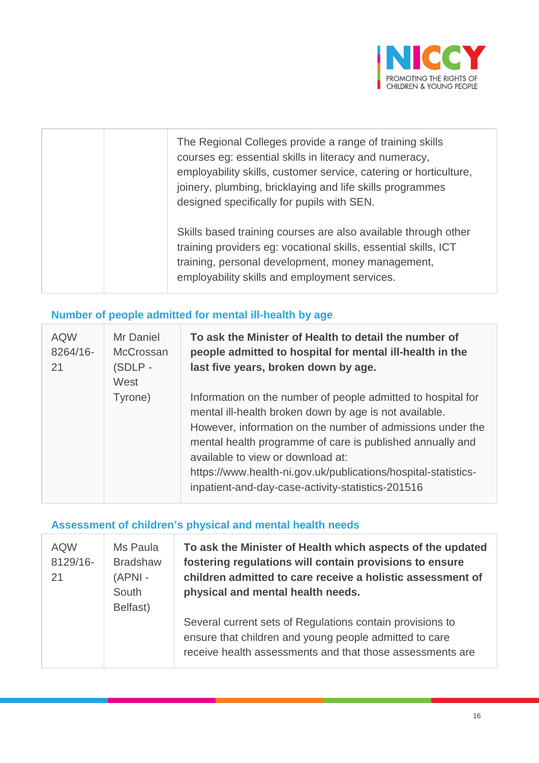

| The Regional Colleges provide a range of training skills<br>courses eg: essential skills in literacy and numeracy,<br>employability skills, customer service, catering or horticulture,<br>joinery, plumbing, bricklaying and life skills programmes<br>designed specifically for pupils with SEN. |
|----------------------------------------------------------------------------------------------------------------------------------------------------------------------------------------------------------------------------------------------------------------------------------------------------|
| Skills based training courses are also available through other<br>training providers eg: vocational skills, essential skills, ICT<br>training, personal development, money management,<br>employability skills and employment services.                                                            |

## **Number of people admitted for mental ill-health by age**

| <b>AQW</b><br>8264/16-<br>21 | Mr Daniel<br><b>McCrossan</b><br>(SDLP-<br>West | To ask the Minister of Health to detail the number of<br>people admitted to hospital for mental ill-health in the<br>last five years, broken down by age.                                                                                                                                                                                                                                                     |
|------------------------------|-------------------------------------------------|---------------------------------------------------------------------------------------------------------------------------------------------------------------------------------------------------------------------------------------------------------------------------------------------------------------------------------------------------------------------------------------------------------------|
|                              | Tyrone)                                         | Information on the number of people admitted to hospital for<br>mental ill-health broken down by age is not available.<br>However, information on the number of admissions under the<br>mental health programme of care is published annually and<br>available to view or download at:<br>https://www.health-ni.gov.uk/publications/hospital-statistics-<br>inpatient-and-day-case-activity-statistics-201516 |

## **Assessment of children's physical and mental health needs**

| <b>AQW</b><br>8129/16-<br>21 | Ms Paula<br><b>Bradshaw</b><br>$(APNI -$<br>South<br>Belfast) | To ask the Minister of Health which aspects of the updated<br>fostering regulations will contain provisions to ensure<br>children admitted to care receive a holistic assessment of<br>physical and mental health needs. |
|------------------------------|---------------------------------------------------------------|--------------------------------------------------------------------------------------------------------------------------------------------------------------------------------------------------------------------------|
|                              |                                                               | Several current sets of Regulations contain provisions to<br>ensure that children and young people admitted to care<br>receive health assessments and that those assessments are                                         |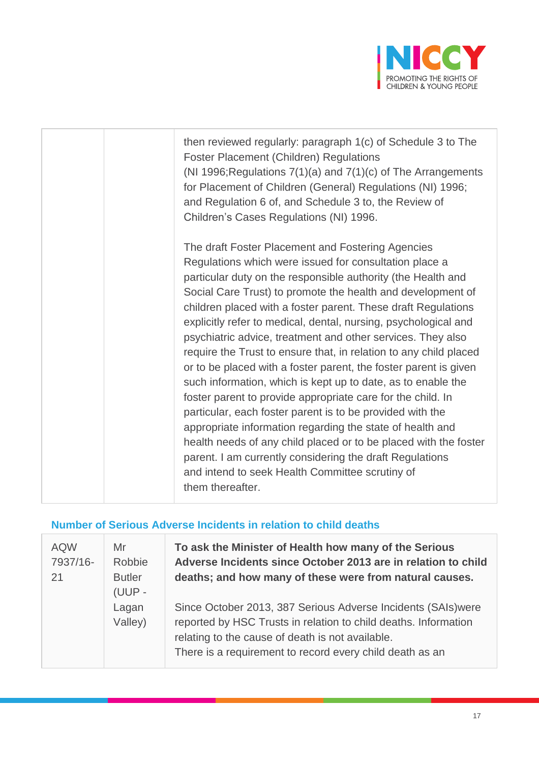

| then reviewed regularly: paragraph 1(c) of Schedule 3 to The<br><b>Foster Placement (Children) Regulations</b><br>(NI 1996; Regulations $7(1)(a)$ and $7(1)(c)$ of The Arrangements<br>for Placement of Children (General) Regulations (NI) 1996;<br>and Regulation 6 of, and Schedule 3 to, the Review of<br>Children's Cases Regulations (NI) 1996.                                                                                                                                                                                                                                                                                                                                                                                                                                                                                                                                                                                                                                                                                                  |
|--------------------------------------------------------------------------------------------------------------------------------------------------------------------------------------------------------------------------------------------------------------------------------------------------------------------------------------------------------------------------------------------------------------------------------------------------------------------------------------------------------------------------------------------------------------------------------------------------------------------------------------------------------------------------------------------------------------------------------------------------------------------------------------------------------------------------------------------------------------------------------------------------------------------------------------------------------------------------------------------------------------------------------------------------------|
| The draft Foster Placement and Fostering Agencies<br>Regulations which were issued for consultation place a<br>particular duty on the responsible authority (the Health and<br>Social Care Trust) to promote the health and development of<br>children placed with a foster parent. These draft Regulations<br>explicitly refer to medical, dental, nursing, psychological and<br>psychiatric advice, treatment and other services. They also<br>require the Trust to ensure that, in relation to any child placed<br>or to be placed with a foster parent, the foster parent is given<br>such information, which is kept up to date, as to enable the<br>foster parent to provide appropriate care for the child. In<br>particular, each foster parent is to be provided with the<br>appropriate information regarding the state of health and<br>health needs of any child placed or to be placed with the foster<br>parent. I am currently considering the draft Regulations<br>and intend to seek Health Committee scrutiny of<br>them thereafter. |

#### **Number of Serious Adverse Incidents in relation to child deaths**

| <b>AQW</b><br>7937/16-<br>21 | Mr<br>Robbie<br><b>Butler</b><br>(UUP - | To ask the Minister of Health how many of the Serious<br>Adverse Incidents since October 2013 are in relation to child<br>deaths; and how many of these were from natural causes.                                                                |
|------------------------------|-----------------------------------------|--------------------------------------------------------------------------------------------------------------------------------------------------------------------------------------------------------------------------------------------------|
|                              | Lagan<br>Valley)                        | Since October 2013, 387 Serious Adverse Incidents (SAIs) were<br>reported by HSC Trusts in relation to child deaths. Information<br>relating to the cause of death is not available.<br>There is a requirement to record every child death as an |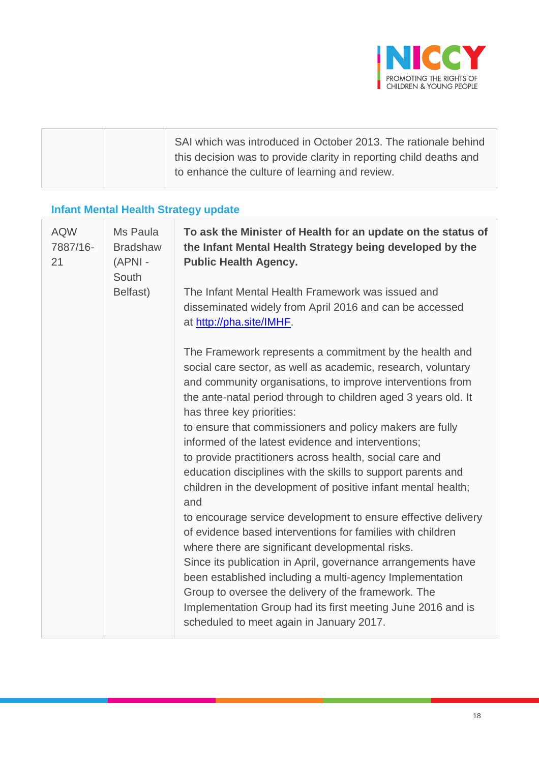

| SAI which was introduced in October 2013. The rationale behind<br>this decision was to provide clarity in reporting child deaths and |
|--------------------------------------------------------------------------------------------------------------------------------------|
| to enhance the culture of learning and review.                                                                                       |

## **Infant Mental Health Strategy update**

| <b>AQW</b><br>7887/16-<br>21 | Ms Paula<br><b>Bradshaw</b><br>(APNI -<br>South | To ask the Minister of Health for an update on the status of<br>the Infant Mental Health Strategy being developed by the<br><b>Public Health Agency.</b>                                                                                                                                                                                                                                                                                                                                                                                                                                                                                                                                                                                                                                                                                                                                                                                                                                                                                                                                   |
|------------------------------|-------------------------------------------------|--------------------------------------------------------------------------------------------------------------------------------------------------------------------------------------------------------------------------------------------------------------------------------------------------------------------------------------------------------------------------------------------------------------------------------------------------------------------------------------------------------------------------------------------------------------------------------------------------------------------------------------------------------------------------------------------------------------------------------------------------------------------------------------------------------------------------------------------------------------------------------------------------------------------------------------------------------------------------------------------------------------------------------------------------------------------------------------------|
|                              | Belfast)                                        | The Infant Mental Health Framework was issued and<br>disseminated widely from April 2016 and can be accessed<br>at http://pha.site/IMHF.                                                                                                                                                                                                                                                                                                                                                                                                                                                                                                                                                                                                                                                                                                                                                                                                                                                                                                                                                   |
|                              |                                                 | The Framework represents a commitment by the health and<br>social care sector, as well as academic, research, voluntary<br>and community organisations, to improve interventions from<br>the ante-natal period through to children aged 3 years old. It<br>has three key priorities:<br>to ensure that commissioners and policy makers are fully<br>informed of the latest evidence and interventions;<br>to provide practitioners across health, social care and<br>education disciplines with the skills to support parents and<br>children in the development of positive infant mental health;<br>and<br>to encourage service development to ensure effective delivery<br>of evidence based interventions for families with children<br>where there are significant developmental risks.<br>Since its publication in April, governance arrangements have<br>been established including a multi-agency Implementation<br>Group to oversee the delivery of the framework. The<br>Implementation Group had its first meeting June 2016 and is<br>scheduled to meet again in January 2017. |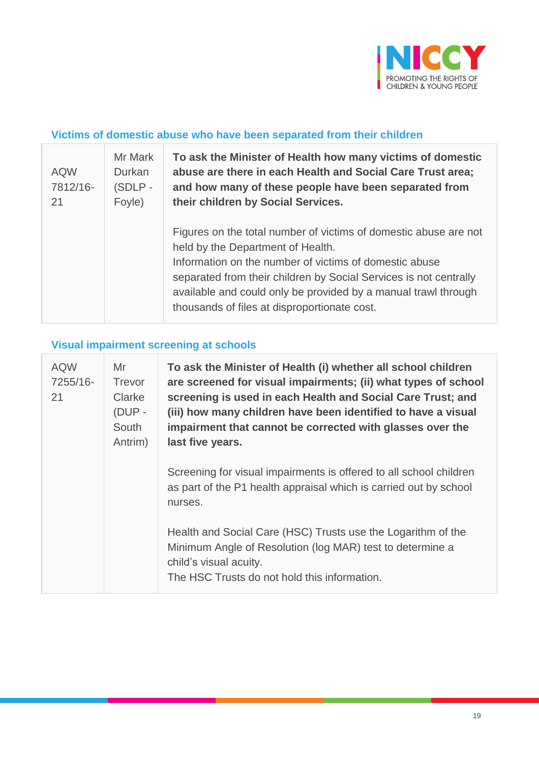

#### **Victims of domestic abuse who have been separated from their children**

| <b>AQW</b><br>7812/16-<br>21 | Mr Mark<br>Durkan<br>(SDLP -<br>Foyle) | To ask the Minister of Health how many victims of domestic<br>abuse are there in each Health and Social Care Trust area;<br>and how many of these people have been separated from<br>their children by Social Services.                                                                                                                                |
|------------------------------|----------------------------------------|--------------------------------------------------------------------------------------------------------------------------------------------------------------------------------------------------------------------------------------------------------------------------------------------------------------------------------------------------------|
|                              |                                        | Figures on the total number of victims of domestic abuse are not<br>held by the Department of Health.<br>Information on the number of victims of domestic abuse<br>separated from their children by Social Services is not centrally<br>available and could only be provided by a manual trawl through<br>thousands of files at disproportionate cost. |

## **Visual impairment screening at schools**

| <b>AQW</b><br>7255/16-<br>21 | Mr<br>Trevor<br>Clarke<br>(DUP -<br>South<br>Antrim) | To ask the Minister of Health (i) whether all school children<br>are screened for visual impairments; (ii) what types of school<br>screening is used in each Health and Social Care Trust; and<br>(iii) how many children have been identified to have a visual<br>impairment that cannot be corrected with glasses over the<br>last five years. |
|------------------------------|------------------------------------------------------|--------------------------------------------------------------------------------------------------------------------------------------------------------------------------------------------------------------------------------------------------------------------------------------------------------------------------------------------------|
|                              |                                                      | Screening for visual impairments is offered to all school children<br>as part of the P1 health appraisal which is carried out by school<br>nurses.                                                                                                                                                                                               |
|                              |                                                      | Health and Social Care (HSC) Trusts use the Logarithm of the<br>Minimum Angle of Resolution (log MAR) test to determine a<br>child's visual acuity.<br>The HSC Trusts do not hold this information.                                                                                                                                              |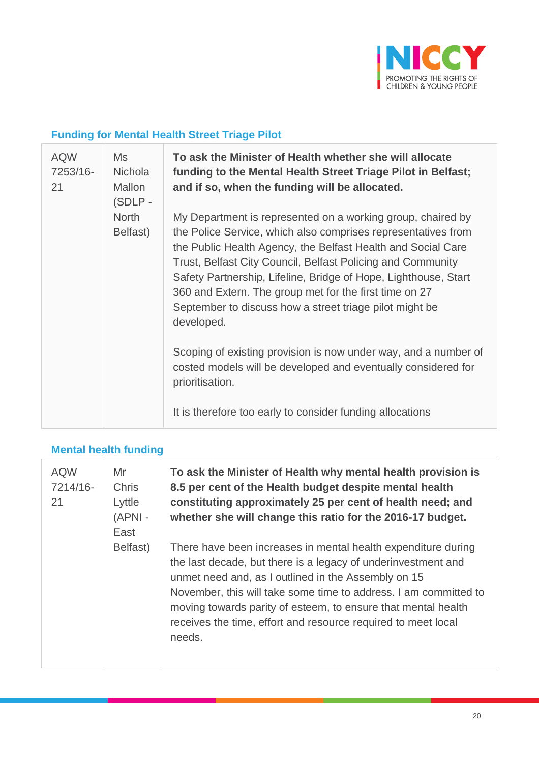

## **Funding for Mental Health Street Triage Pilot**

| <b>AQW</b><br>7253/16-<br>21 | <b>Ms</b><br><b>Nichola</b><br><b>Mallon</b><br>(SDLP- | To ask the Minister of Health whether she will allocate<br>funding to the Mental Health Street Triage Pilot in Belfast;<br>and if so, when the funding will be allocated.                                                                                                                                                                                                                                                                                         |
|------------------------------|--------------------------------------------------------|-------------------------------------------------------------------------------------------------------------------------------------------------------------------------------------------------------------------------------------------------------------------------------------------------------------------------------------------------------------------------------------------------------------------------------------------------------------------|
|                              | <b>North</b><br>Belfast)                               | My Department is represented on a working group, chaired by<br>the Police Service, which also comprises representatives from<br>the Public Health Agency, the Belfast Health and Social Care<br>Trust, Belfast City Council, Belfast Policing and Community<br>Safety Partnership, Lifeline, Bridge of Hope, Lighthouse, Start<br>360 and Extern. The group met for the first time on 27<br>September to discuss how a street triage pilot might be<br>developed. |
|                              |                                                        | Scoping of existing provision is now under way, and a number of<br>costed models will be developed and eventually considered for<br>prioritisation.                                                                                                                                                                                                                                                                                                               |
|                              |                                                        | It is therefore too early to consider funding allocations                                                                                                                                                                                                                                                                                                                                                                                                         |

# **Mental health funding**

| <b>AQW</b><br>7214/16-<br>21 | Mr<br><b>Chris</b><br>Lyttle<br>$(APNI -$<br>East | To ask the Minister of Health why mental health provision is<br>8.5 per cent of the Health budget despite mental health<br>constituting approximately 25 per cent of health need; and<br>whether she will change this ratio for the 2016-17 budget.                                                                                                                                                   |
|------------------------------|---------------------------------------------------|-------------------------------------------------------------------------------------------------------------------------------------------------------------------------------------------------------------------------------------------------------------------------------------------------------------------------------------------------------------------------------------------------------|
|                              | Belfast)                                          | There have been increases in mental health expenditure during<br>the last decade, but there is a legacy of underinvestment and<br>unmet need and, as I outlined in the Assembly on 15<br>November, this will take some time to address. I am committed to<br>moving towards parity of esteem, to ensure that mental health<br>receives the time, effort and resource required to meet local<br>needs. |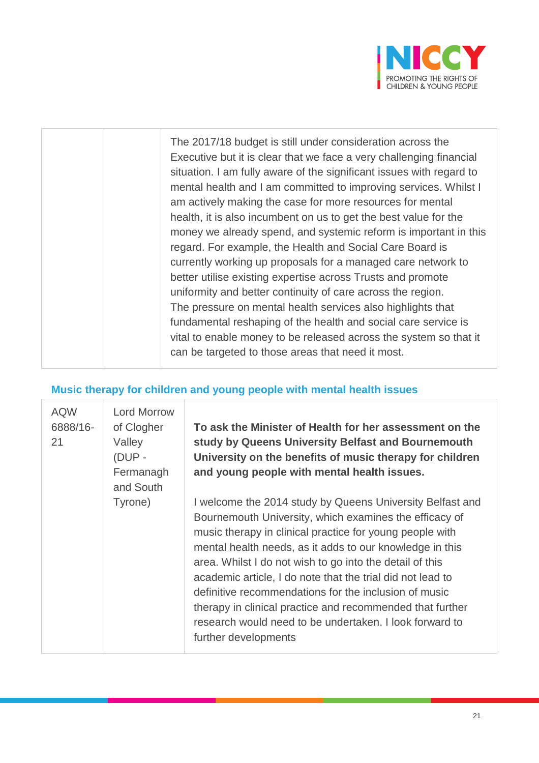

| The 2017/18 budget is still under consideration across the<br>Executive but it is clear that we face a very challenging financial<br>situation. I am fully aware of the significant issues with regard to<br>mental health and I am committed to improving services. Whilst I<br>am actively making the case for more resources for mental<br>health, it is also incumbent on us to get the best value for the<br>money we already spend, and systemic reform is important in this<br>regard. For example, the Health and Social Care Board is<br>currently working up proposals for a managed care network to<br>better utilise existing expertise across Trusts and promote<br>uniformity and better continuity of care across the region.<br>The pressure on mental health services also highlights that<br>fundamental reshaping of the health and social care service is<br>vital to enable money to be released across the system so that it<br>can be targeted to those areas that need it most. |
|---------------------------------------------------------------------------------------------------------------------------------------------------------------------------------------------------------------------------------------------------------------------------------------------------------------------------------------------------------------------------------------------------------------------------------------------------------------------------------------------------------------------------------------------------------------------------------------------------------------------------------------------------------------------------------------------------------------------------------------------------------------------------------------------------------------------------------------------------------------------------------------------------------------------------------------------------------------------------------------------------------|
|                                                                                                                                                                                                                                                                                                                                                                                                                                                                                                                                                                                                                                                                                                                                                                                                                                                                                                                                                                                                         |

#### **Music therapy for children and young people with mental health issues**

| <b>AQW</b><br>6888/16-<br>21 | <b>Lord Morrow</b><br>of Clogher<br>Valley<br>(DUP -<br>Fermanagh<br>and South | To ask the Minister of Health for her assessment on the<br>study by Queens University Belfast and Bournemouth<br>University on the benefits of music therapy for children<br>and young people with mental health issues.                                                                                                                                                                                                                                                                                                                                                       |
|------------------------------|--------------------------------------------------------------------------------|--------------------------------------------------------------------------------------------------------------------------------------------------------------------------------------------------------------------------------------------------------------------------------------------------------------------------------------------------------------------------------------------------------------------------------------------------------------------------------------------------------------------------------------------------------------------------------|
|                              | Tyrone)                                                                        | I welcome the 2014 study by Queens University Belfast and<br>Bournemouth University, which examines the efficacy of<br>music therapy in clinical practice for young people with<br>mental health needs, as it adds to our knowledge in this<br>area. Whilst I do not wish to go into the detail of this<br>academic article, I do note that the trial did not lead to<br>definitive recommendations for the inclusion of music<br>therapy in clinical practice and recommended that further<br>research would need to be undertaken. I look forward to<br>further developments |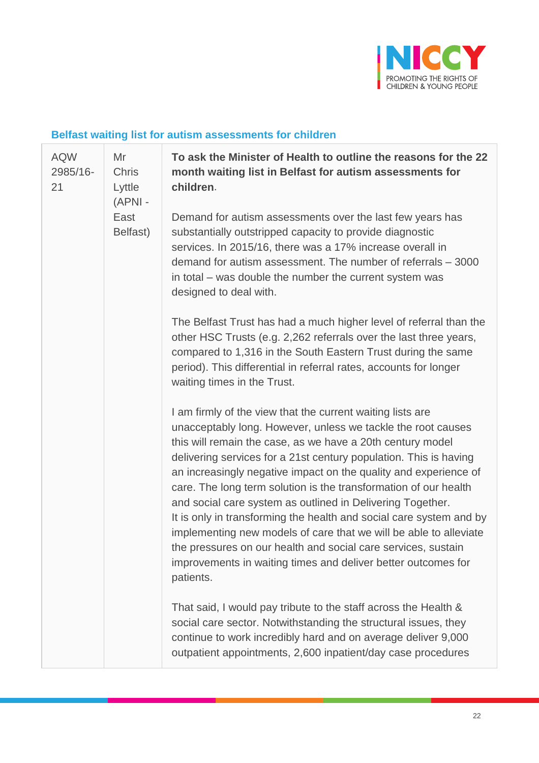

#### **Belfast waiting list for autism assessments for children**

| <b>AQW</b><br>2985/16-<br>21 | Mr<br><b>Chris</b><br>Lyttle<br>(APNI - | To ask the Minister of Health to outline the reasons for the 22<br>month waiting list in Belfast for autism assessments for<br>children.                                                                                                                                                                                                                                                                                                                                                                                                                                                                                                                                                                                                                       |
|------------------------------|-----------------------------------------|----------------------------------------------------------------------------------------------------------------------------------------------------------------------------------------------------------------------------------------------------------------------------------------------------------------------------------------------------------------------------------------------------------------------------------------------------------------------------------------------------------------------------------------------------------------------------------------------------------------------------------------------------------------------------------------------------------------------------------------------------------------|
|                              | East<br>Belfast)                        | Demand for autism assessments over the last few years has<br>substantially outstripped capacity to provide diagnostic<br>services. In 2015/16, there was a 17% increase overall in<br>demand for autism assessment. The number of referrals - 3000<br>in total – was double the number the current system was<br>designed to deal with.                                                                                                                                                                                                                                                                                                                                                                                                                        |
|                              |                                         | The Belfast Trust has had a much higher level of referral than the<br>other HSC Trusts (e.g. 2,262 referrals over the last three years,<br>compared to 1,316 in the South Eastern Trust during the same<br>period). This differential in referral rates, accounts for longer<br>waiting times in the Trust.                                                                                                                                                                                                                                                                                                                                                                                                                                                    |
|                              |                                         | I am firmly of the view that the current waiting lists are<br>unacceptably long. However, unless we tackle the root causes<br>this will remain the case, as we have a 20th century model<br>delivering services for a 21st century population. This is having<br>an increasingly negative impact on the quality and experience of<br>care. The long term solution is the transformation of our health<br>and social care system as outlined in Delivering Together.<br>It is only in transforming the health and social care system and by<br>implementing new models of care that we will be able to alleviate<br>the pressures on our health and social care services, sustain<br>improvements in waiting times and deliver better outcomes for<br>patients. |
|                              |                                         | That said, I would pay tribute to the staff across the Health &<br>social care sector. Notwithstanding the structural issues, they<br>continue to work incredibly hard and on average deliver 9,000<br>outpatient appointments, 2,600 inpatient/day case procedures                                                                                                                                                                                                                                                                                                                                                                                                                                                                                            |